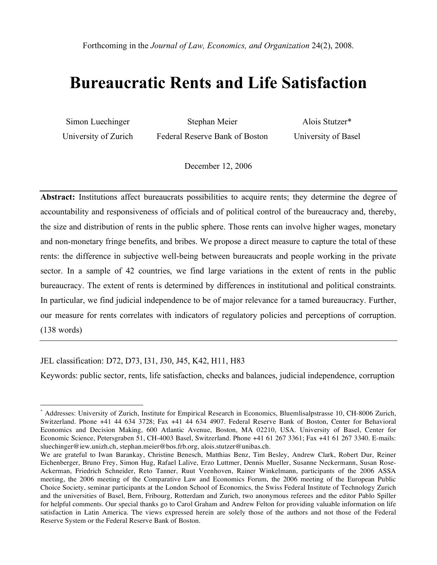# **Bureaucratic Rents and Life Satisfaction**

| Simon Luechinger     | Stephan Meier                  | Alois Stutzer*      |  |  |
|----------------------|--------------------------------|---------------------|--|--|
| University of Zurich | Federal Reserve Bank of Boston | University of Basel |  |  |

December 12, 2006

Abstract: Institutions affect bureaucrats possibilities to acquire rents; they determine the degree of accountability and responsiveness of officials and of political control of the bureaucracy and, thereby, the size and distribution of rents in the public sphere. Those rents can involve higher wages, monetary and non-monetary fringe benefits, and bribes. We propose a direct measure to capture the total of these rents: the difference in subjective well-being between bureaucrats and people working in the private sector. In a sample of 42 countries, we find large variations in the extent of rents in the public bureaucracy. The extent of rents is determined by differences in institutional and political constraints. In particular, we find judicial independence to be of major relevance for a tamed bureaucracy. Further, our measure for rents correlates with indicators of regulatory policies and perceptions of corruption. (138 words)

JEL classification: D72, D73, I31, J30, J45, K42, H11, H83

Keywords: public sector, rents, life satisfaction, checks and balances, judicial independence, corruption

 <sup>\*</sup> Addresses: University of Zurich, Institute for Empirical Research in Economics, Bluemlisalpstrasse 10, CH-8006 Zurich, Switzerland. Phone +41 44 634 3728; Fax +41 44 634 4907. Federal Reserve Bank of Boston, Center for Behavioral Economics and Decision Making, 600 Atlantic Avenue, Boston, MA 02210, USA. University of Basel, Center for Economic Science, Petersgraben 51, CH-4003 Basel, Switzerland. Phone +41 61 267 3361; Fax +41 61 267 3340. E-mails: sluechinger@iew.unizh.ch, stephan.meier@bos.frb.org, alois.stutzer@unibas.ch.

We are grateful to Iwan Barankay, Christine Benesch, Matthias Benz, Tim Besley, Andrew Clark, Robert Dur, Reiner Eichenberger, Bruno Frey, Simon Hug, Rafael Lalive, Erzo Luttmer, Dennis Mueller, Susanne Neckermann, Susan Rose-Ackerman, Friedrich Schneider, Reto Tanner, Ruut Veenhoven, Rainer Winkelmann, participants of the 2006 ASSA meeting, the 2006 meeting of the Comparative Law and Economics Forum, the 2006 meeting of the European Public Choice Society, seminar participants at the London School of Economics, the Swiss Federal Institute of Technology Zurich and the universities of Basel, Bern, Fribourg, Rotterdam and Zurich, two anonymous referees and the editor Pablo Spiller for helpful comments. Our special thanks go to Carol Graham and Andrew Felton for providing valuable information on life satisfaction in Latin America. The views expressed herein are solely those of the authors and not those of the Federal Reserve System or the Federal Reserve Bank of Boston.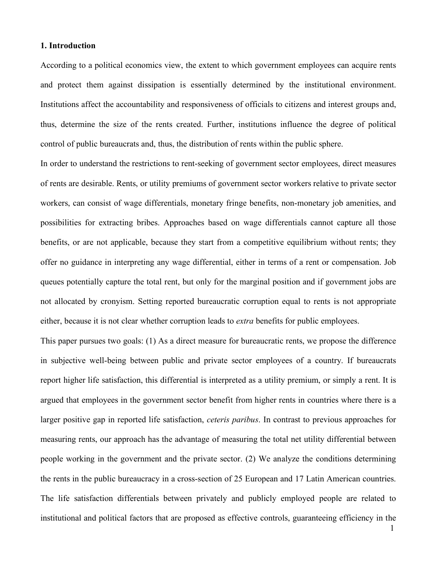#### **1. Introduction**

According to a political economics view, the extent to which government employees can acquire rents and protect them against dissipation is essentially determined by the institutional environment. Institutions affect the accountability and responsiveness of officials to citizens and interest groups and, thus, determine the size of the rents created. Further, institutions influence the degree of political control of public bureaucrats and, thus, the distribution of rents within the public sphere.

In order to understand the restrictions to rent-seeking of government sector employees, direct measures of rents are desirable. Rents, or utility premiums of government sector workers relative to private sector workers, can consist of wage differentials, monetary fringe benefits, non-monetary job amenities, and possibilities for extracting bribes. Approaches based on wage differentials cannot capture all those benefits, or are not applicable, because they start from a competitive equilibrium without rents; they offer no guidance in interpreting any wage differential, either in terms of a rent or compensation. Job queues potentially capture the total rent, but only for the marginal position and if government jobs are not allocated by cronyism. Setting reported bureaucratic corruption equal to rents is not appropriate either, because it is not clear whether corruption leads to *extra* benefits for public employees.

This paper pursues two goals: (1) As a direct measure for bureaucratic rents, we propose the difference in subjective well-being between public and private sector employees of a country. If bureaucrats report higher life satisfaction, this differential is interpreted as a utility premium, or simply a rent. It is argued that employees in the government sector benefit from higher rents in countries where there is a larger positive gap in reported life satisfaction, *ceteris paribus*. In contrast to previous approaches for measuring rents, our approach has the advantage of measuring the total net utility differential between people working in the government and the private sector. (2) We analyze the conditions determining the rents in the public bureaucracy in a cross-section of 25 European and 17 Latin American countries. The life satisfaction differentials between privately and publicly employed people are related to institutional and political factors that are proposed as effective controls, guaranteeing efficiency in the

1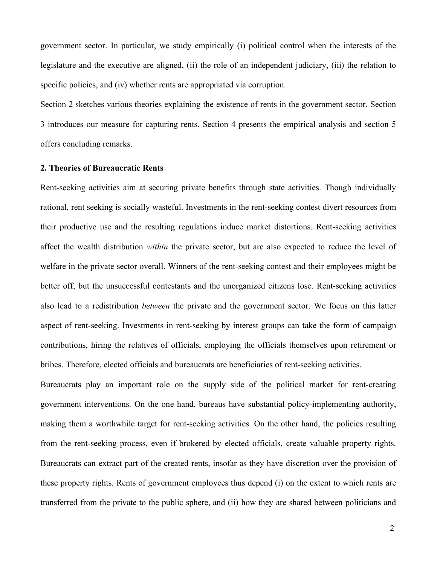government sector. In particular, we study empirically (i) political control when the interests of the legislature and the executive are aligned, (ii) the role of an independent judiciary, (iii) the relation to specific policies, and (iv) whether rents are appropriated via corruption.

Section 2 sketches various theories explaining the existence of rents in the government sector. Section 3 introduces our measure for capturing rents. Section 4 presents the empirical analysis and section 5 offers concluding remarks.

## **2. Theories of Bureaucratic Rents**

Rent-seeking activities aim at securing private benefits through state activities. Though individually rational, rent seeking is socially wasteful. Investments in the rent-seeking contest divert resources from their productive use and the resulting regulations induce market distortions. Rent-seeking activities affect the wealth distribution *within* the private sector, but are also expected to reduce the level of welfare in the private sector overall. Winners of the rent-seeking contest and their employees might be better off, but the unsuccessful contestants and the unorganized citizens lose. Rent-seeking activities also lead to a redistribution *between* the private and the government sector. We focus on this latter aspect of rent-seeking. Investments in rent-seeking by interest groups can take the form of campaign contributions, hiring the relatives of officials, employing the officials themselves upon retirement or bribes. Therefore, elected officials and bureaucrats are beneficiaries of rent-seeking activities.

Bureaucrats play an important role on the supply side of the political market for rent-creating government interventions. On the one hand, bureaus have substantial policy-implementing authority, making them a worthwhile target for rent-seeking activities. On the other hand, the policies resulting from the rent-seeking process, even if brokered by elected officials, create valuable property rights. Bureaucrats can extract part of the created rents, insofar as they have discretion over the provision of these property rights. Rents of government employees thus depend (i) on the extent to which rents are transferred from the private to the public sphere, and (ii) how they are shared between politicians and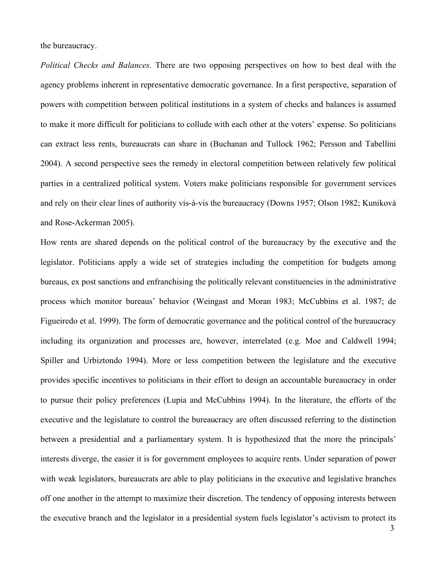the bureaucracy.

*Political Checks and Balances.* There are two opposing perspectives on how to best deal with the agency problems inherent in representative democratic governance. In a first perspective, separation of powers with competition between political institutions in a system of checks and balances is assumed to make it more difficult for politicians to collude with each other at the voters' expense. So politicians can extract less rents, bureaucrats can share in (Buchanan and Tullock 1962; Persson and Tabellini 2004). A second perspective sees the remedy in electoral competition between relatively few political parties in a centralized political system. Voters make politicians responsible for government services and rely on their clear lines of authority vis-à-vis the bureaucracy (Downs 1957; Olson 1982; Kuniková and Rose-Ackerman 2005).

How rents are shared depends on the political control of the bureaucracy by the executive and the legislator. Politicians apply a wide set of strategies including the competition for budgets among bureaus, ex post sanctions and enfranchising the politically relevant constituencies in the administrative process which monitor bureaus' behavior (Weingast and Moran 1983; McCubbins et al. 1987; de Figueiredo et al. 1999). The form of democratic governance and the political control of the bureaucracy including its organization and processes are, however, interrelated (e.g. Moe and Caldwell 1994; Spiller and Urbiztondo 1994). More or less competition between the legislature and the executive provides specific incentives to politicians in their effort to design an accountable bureaucracy in order to pursue their policy preferences (Lupia and McCubbins 1994). In the literature, the efforts of the executive and the legislature to control the bureaucracy are often discussed referring to the distinction between a presidential and a parliamentary system. It is hypothesized that the more the principals' interests diverge, the easier it is for government employees to acquire rents. Under separation of power with weak legislators, bureaucrats are able to play politicians in the executive and legislative branches off one another in the attempt to maximize their discretion. The tendency of opposing interests between the executive branch and the legislator in a presidential system fuels legislator's activism to protect its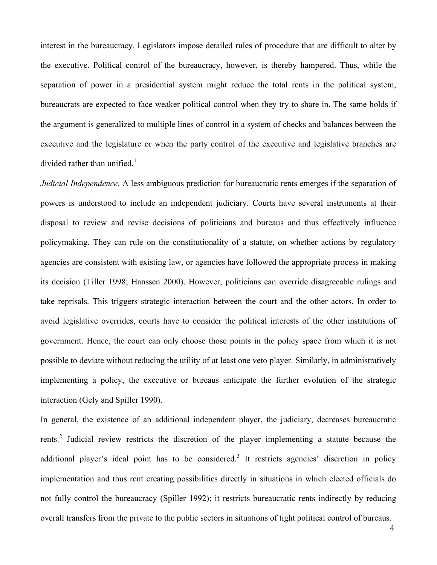interest in the bureaucracy. Legislators impose detailed rules of procedure that are difficult to alter by the executive. Political control of the bureaucracy, however, is thereby hampered. Thus, while the separation of power in a presidential system might reduce the total rents in the political system, bureaucrats are expected to face weaker political control when they try to share in. The same holds if the argument is generalized to multiple lines of control in a system of checks and balances between the executive and the legislature or when the party control of the executive and legislative branches are divided rather than unified.<sup>1</sup>

*Judicial Independence.* A less ambiguous prediction for bureaucratic rents emerges if the separation of powers is understood to include an independent judiciary. Courts have several instruments at their disposal to review and revise decisions of politicians and bureaus and thus effectively influence policymaking. They can rule on the constitutionality of a statute, on whether actions by regulatory agencies are consistent with existing law, or agencies have followed the appropriate process in making its decision (Tiller 1998; Hanssen 2000). However, politicians can override disagreeable rulings and take reprisals. This triggers strategic interaction between the court and the other actors. In order to avoid legislative overrides, courts have to consider the political interests of the other institutions of government. Hence, the court can only choose those points in the policy space from which it is not possible to deviate without reducing the utility of at least one veto player. Similarly, in administratively implementing a policy, the executive or bureaus anticipate the further evolution of the strategic interaction (Gely and Spiller 1990).

In general, the existence of an additional independent player, the judiciary, decreases bureaucratic rents.<sup>2</sup> Judicial review restricts the discretion of the player implementing a statute because the additional player's ideal point has to be considered.<sup>3</sup> It restricts agencies' discretion in policy implementation and thus rent creating possibilities directly in situations in which elected officials do not fully control the bureaucracy (Spiller 1992); it restricts bureaucratic rents indirectly by reducing overall transfers from the private to the public sectors in situations of tight political control of bureaus.

4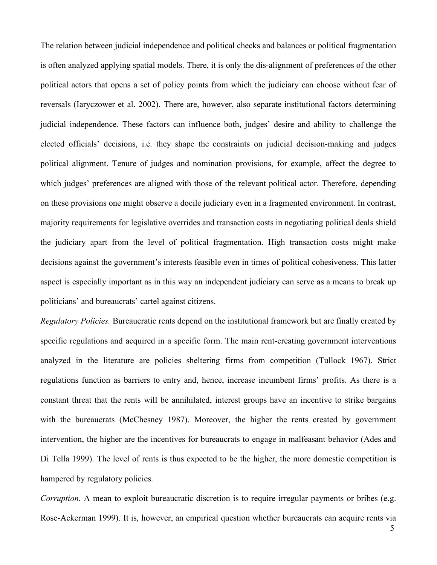The relation between judicial independence and political checks and balances or political fragmentation is often analyzed applying spatial models. There, it is only the dis-alignment of preferences of the other political actors that opens a set of policy points from which the judiciary can choose without fear of reversals (Iaryczower et al. 2002). There are, however, also separate institutional factors determining judicial independence. These factors can influence both, judges' desire and ability to challenge the elected officials' decisions, i.e. they shape the constraints on judicial decision-making and judges political alignment. Tenure of judges and nomination provisions, for example, affect the degree to which judges' preferences are aligned with those of the relevant political actor. Therefore, depending on these provisions one might observe a docile judiciary even in a fragmented environment. In contrast, majority requirements for legislative overrides and transaction costs in negotiating political deals shield the judiciary apart from the level of political fragmentation. High transaction costs might make decisions against the government's interests feasible even in times of political cohesiveness. This latter aspect is especially important as in this way an independent judiciary can serve as a means to break up politicians' and bureaucrats' cartel against citizens.

*Regulatory Policies.* Bureaucratic rents depend on the institutional framework but are finally created by specific regulations and acquired in a specific form. The main rent-creating government interventions analyzed in the literature are policies sheltering firms from competition (Tullock 1967). Strict regulations function as barriers to entry and, hence, increase incumbent firms' profits. As there is a constant threat that the rents will be annihilated, interest groups have an incentive to strike bargains with the bureaucrats (McChesney 1987). Moreover, the higher the rents created by government intervention, the higher are the incentives for bureaucrats to engage in malfeasant behavior (Ades and Di Tella 1999). The level of rents is thus expected to be the higher, the more domestic competition is hampered by regulatory policies.

*Corruption.* A mean to exploit bureaucratic discretion is to require irregular payments or bribes (e.g. Rose-Ackerman 1999). It is, however, an empirical question whether bureaucrats can acquire rents via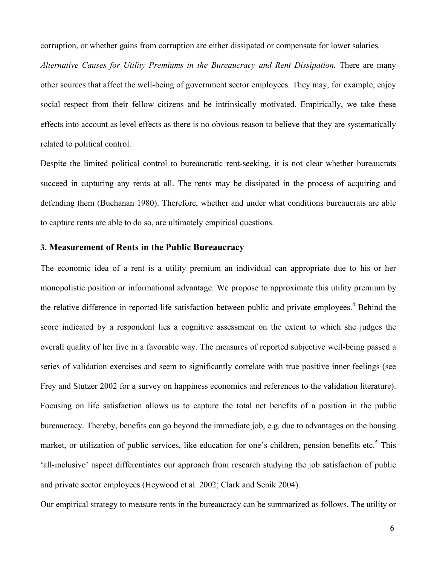corruption, or whether gains from corruption are either dissipated or compensate for lower salaries.

*Alternative Causes for Utility Premiums in the Bureaucracy and Rent Dissipation.* There are many other sources that affect the well-being of government sector employees. They may, for example, enjoy social respect from their fellow citizens and be intrinsically motivated. Empirically, we take these effects into account as level effects as there is no obvious reason to believe that they are systematically related to political control.

Despite the limited political control to bureaucratic rent-seeking, it is not clear whether bureaucrats succeed in capturing any rents at all. The rents may be dissipated in the process of acquiring and defending them (Buchanan 1980). Therefore, whether and under what conditions bureaucrats are able to capture rents are able to do so, are ultimately empirical questions.

## **3. Measurement of Rents in the Public Bureaucracy**

The economic idea of a rent is a utility premium an individual can appropriate due to his or her monopolistic position or informational advantage. We propose to approximate this utility premium by the relative difference in reported life satisfaction between public and private employees. <sup>4</sup> Behind the score indicated by a respondent lies a cognitive assessment on the extent to which she judges the overall quality of her live in a favorable way. The measures of reported subjective well-being passed a series of validation exercises and seem to significantly correlate with true positive inner feelings (see Frey and Stutzer 2002 for a survey on happiness economics and references to the validation literature). Focusing on life satisfaction allows us to capture the total net benefits of a position in the public bureaucracy. Thereby, benefits can go beyond the immediate job, e.g. due to advantages on the housing market, or utilization of public services, like education for one's children, pension benefits etc.<sup>5</sup> This 'all-inclusive' aspect differentiates our approach from research studying the job satisfaction of public and private sector employees (Heywood et al. 2002; Clark and Senik 2004).

Our empirical strategy to measure rents in the bureaucracy can be summarized as follows. The utility or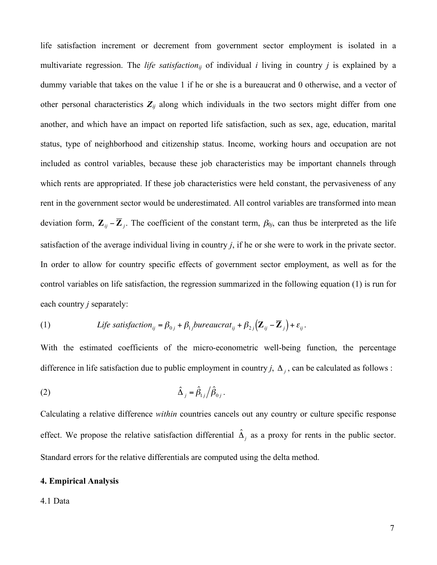life satisfaction increment or decrement from government sector employment is isolated in a multivariate regression. The *life satisfaction<sub>ii</sub>* of individual *i* living in country *j* is explained by a dummy variable that takes on the value 1 if he or she is a bureaucrat and 0 otherwise, and a vector of other personal characteristics  $Z_{ij}$  along which individuals in the two sectors might differ from one another, and which have an impact on reported life satisfaction, such as sex, age, education, marital status, type of neighborhood and citizenship status. Income, working hours and occupation are not included as control variables, because these job characteristics may be important channels through which rents are appropriated. If these job characteristics were held constant, the pervasiveness of any rent in the government sector would be underestimated. All control variables are transformed into mean deviation form,  $\mathbf{Z}_{ij} - \overline{\mathbf{Z}}_j$ . The coefficient of the constant term,  $\beta_{0j}$ , can thus be interpreted as the life In order to allow for country specific effects of government sector employment, as well as for the satisfaction of the average individual living in country *j*, if he or she were to work in the private sector. control variables on life satisfaction, the regression summarized in the following equation (1) is run for each country *j* separately:

(1) *Life satisfaction*<sub>ij</sub> = 
$$
\beta_{0j} + \beta_{1j} \text{bureaucrat}_{ij} + \beta_{2j} (\mathbf{Z}_{ij} - \overline{\mathbf{Z}}_j) + \varepsilon_{ij}
$$
.

difference in life satisfaction due to public employment in country *j*,  $\Delta_j$ , can be calculated as follows : With the estimated coefficients of the micro-econometric well-being function, the percentage

$$
\hat{\Delta}_j = \hat{\beta}_{1j} / \hat{\beta}_{0j} \, .
$$

effect. We propose the relative satisfaction differential  $\hat{\Delta}_j$  as a proxy for rents in the public sector. Calculating a relative difference *within* countries cancels out any country or culture specific response Standard errors for the relative differentials are computed using the delta method.

## **4. Empirical Analysis**

#### 4.1 Data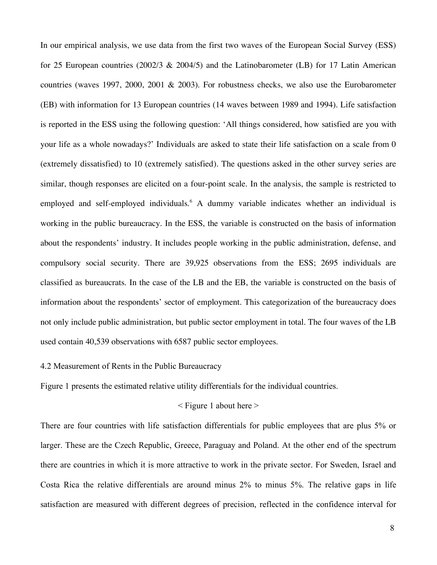In our empirical analysis, we use data from the first two waves of the European Social Survey (ESS) for 25 European countries (2002/3 & 2004/5) and the Latinobarometer (LB) for 17 Latin American countries (waves 1997, 2000, 2001 & 2003). For robustness checks, we also use the Eurobarometer (EB) with information for 13 European countries (14 waves between 1989 and 1994). Life satisfaction is reported in the ESS using the following question: 'All things considered, how satisfied are you with your life as a whole nowadays?' Individuals are asked to state their life satisfaction on a scale from 0 (extremely dissatisfied) to 10 (extremely satisfied). The questions asked in the other survey series are similar, though responses are elicited on a four-point scale. In the analysis, the sample is restricted to employed and self-employed individuals.<sup>6</sup> A dummy variable indicates whether an individual is working in the public bureaucracy. In the ESS, the variable is constructed on the basis of information about the respondents' industry. It includes people working in the public administration, defense, and compulsory social security. There are 39,925 observations from the ESS; 2695 individuals are classified as bureaucrats. In the case of the LB and the EB, the variable is constructed on the basis of information about the respondents' sector of employment. This categorization of the bureaucracy does not only include public administration, but public sector employment in total. The four waves of the LB used contain 40,539 observations with 6587 public sector employees.

# 4.2 Measurement of Rents in the Public Bureaucracy

Figure 1 presents the estimated relative utility differentials for the individual countries.

# $\leq$  Figure 1 about here  $>$

There are four countries with life satisfaction differentials for public employees that are plus 5% or larger. These are the Czech Republic, Greece, Paraguay and Poland. At the other end of the spectrum there are countries in which it is more attractive to work in the private sector. For Sweden, Israel and Costa Rica the relative differentials are around minus 2% to minus 5%. The relative gaps in life satisfaction are measured with different degrees of precision, reflected in the confidence interval for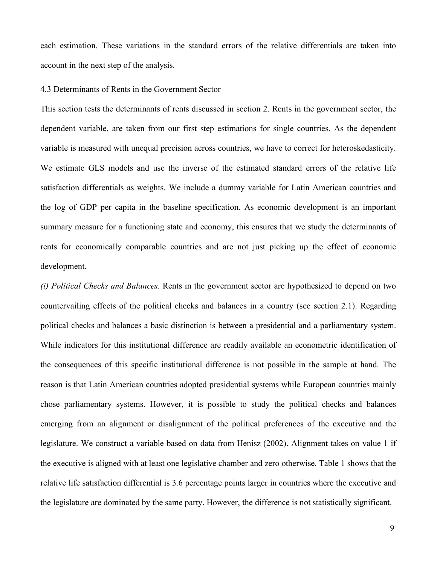each estimation. These variations in the standard errors of the relative differentials are taken into account in the next step of the analysis.

## 4.3 Determinants of Rents in the Government Sector

This section tests the determinants of rents discussed in section 2. Rents in the government sector, the dependent variable, are taken from our first step estimations for single countries. As the dependent variable is measured with unequal precision across countries, we have to correct for heteroskedasticity. We estimate GLS models and use the inverse of the estimated standard errors of the relative life satisfaction differentials as weights. We include a dummy variable for Latin American countries and the log of GDP per capita in the baseline specification. As economic development is an important summary measure for a functioning state and economy, this ensures that we study the determinants of rents for economically comparable countries and are not just picking up the effect of economic development.

*(i) Political Checks and Balances.* Rents in the government sector are hypothesized to depend on two countervailing effects of the political checks and balances in a country (see section 2.1). Regarding political checks and balances a basic distinction is between a presidential and a parliamentary system. While indicators for this institutional difference are readily available an econometric identification of the consequences of this specific institutional difference is not possible in the sample at hand. The reason is that Latin American countries adopted presidential systems while European countries mainly chose parliamentary systems. However, it is possible to study the political checks and balances emerging from an alignment or disalignment of the political preferences of the executive and the legislature. We construct a variable based on data from Henisz (2002). Alignment takes on value 1 if the executive is aligned with at least one legislative chamber and zero otherwise. Table 1 shows that the relative life satisfaction differential is 3.6 percentage points larger in countries where the executive and the legislature are dominated by the same party. However, the difference is not statistically significant.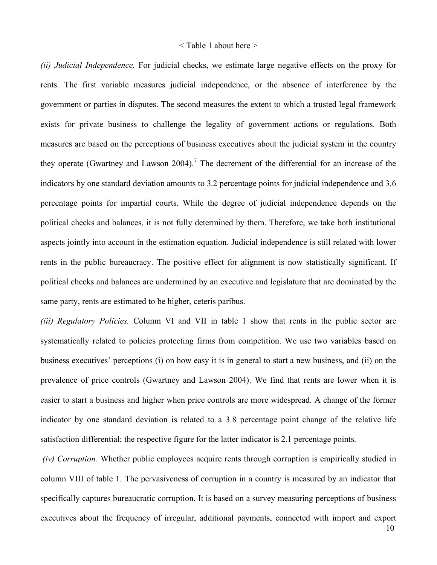#### < Table 1 about here >

*(ii) Judicial Independence.* For judicial checks, we estimate large negative effects on the proxy for rents. The first variable measures judicial independence, or the absence of interference by the government or parties in disputes. The second measures the extent to which a trusted legal framework exists for private business to challenge the legality of government actions or regulations. Both measures are based on the perceptions of business executives about the judicial system in the country they operate (Gwartney and Lawson 2004).<sup>7</sup> The decrement of the differential for an increase of the indicators by one standard deviation amounts to 3.2 percentage points for judicial independence and 3.6 percentage points for impartial courts. While the degree of judicial independence depends on the political checks and balances, it is not fully determined by them. Therefore, we take both institutional aspects jointly into account in the estimation equation. Judicial independence is still related with lower rents in the public bureaucracy. The positive effect for alignment is now statistically significant. If political checks and balances are undermined by an executive and legislature that are dominated by the same party, rents are estimated to be higher, ceteris paribus.

*(iii) Regulatory Policies.* Column VI and VII in table 1 show that rents in the public sector are systematically related to policies protecting firms from competition. We use two variables based on business executives' perceptions (i) on how easy it is in general to start a new business, and (ii) on the prevalence of price controls (Gwartney and Lawson 2004). We find that rents are lower when it is easier to start a business and higher when price controls are more widespread. A change of the former indicator by one standard deviation is related to a 3.8 percentage point change of the relative life satisfaction differential; the respective figure for the latter indicator is 2.1 percentage points.

*(iv) Corruption.* Whether public employees acquire rents through corruption is empirically studied in column VIII of table 1. The pervasiveness of corruption in a country is measured by an indicator that specifically captures bureaucratic corruption. It is based on a survey measuring perceptions of business executives about the frequency of irregular, additional payments, connected with import and export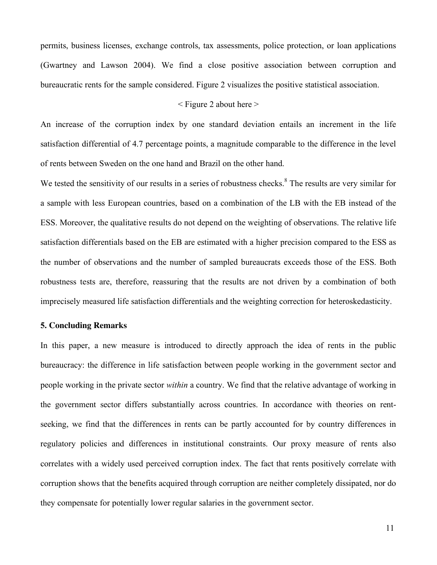permits, business licenses, exchange controls, tax assessments, police protection, or loan applications (Gwartney and Lawson 2004). We find a close positive association between corruption and bureaucratic rents for the sample considered. Figure 2 visualizes the positive statistical association.

# $\leq$  Figure 2 about here  $\geq$

An increase of the corruption index by one standard deviation entails an increment in the life satisfaction differential of 4.7 percentage points, a magnitude comparable to the difference in the level of rents between Sweden on the one hand and Brazil on the other hand.

We tested the sensitivity of our results in a series of robustness checks.<sup>8</sup> The results are very similar for a sample with less European countries, based on a combination of the LB with the EB instead of the ESS. Moreover, the qualitative results do not depend on the weighting of observations. The relative life satisfaction differentials based on the EB are estimated with a higher precision compared to the ESS as the number of observations and the number of sampled bureaucrats exceeds those of the ESS. Both robustness tests are, therefore, reassuring that the results are not driven by a combination of both imprecisely measured life satisfaction differentials and the weighting correction for heteroskedasticity.

## **5. Concluding Remarks**

In this paper, a new measure is introduced to directly approach the idea of rents in the public bureaucracy: the difference in life satisfaction between people working in the government sector and people working in the private sector *within* a country. We find that the relative advantage of working in the government sector differs substantially across countries. In accordance with theories on rentseeking, we find that the differences in rents can be partly accounted for by country differences in regulatory policies and differences in institutional constraints. Our proxy measure of rents also correlates with a widely used perceived corruption index. The fact that rents positively correlate with corruption shows that the benefits acquired through corruption are neither completely dissipated, nor do they compensate for potentially lower regular salaries in the government sector.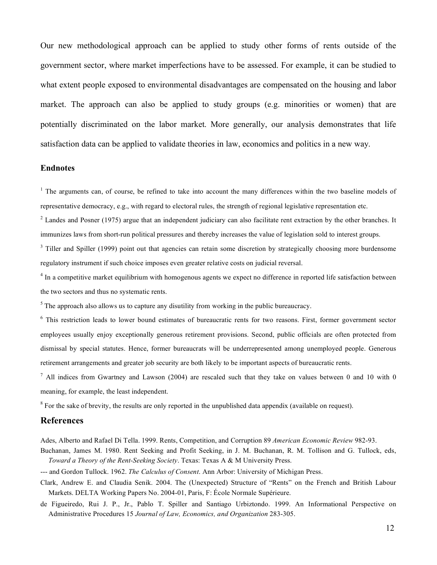Our new methodological approach can be applied to study other forms of rents outside of the government sector, where market imperfections have to be assessed. For example, it can be studied to what extent people exposed to environmental disadvantages are compensated on the housing and labor market. The approach can also be applied to study groups (e.g. minorities or women) that are potentially discriminated on the labor market. More generally, our analysis demonstrates that life satisfaction data can be applied to validate theories in law, economics and politics in a new way.

## **Endnotes**

<sup>1</sup> The arguments can, of course, be refined to take into account the many differences within the two baseline models of representative democracy, e.g., with regard to electoral rules, the strength of regional legislative representation etc.

 $2$  Landes and Posner (1975) argue that an independent judiciary can also facilitate rent extraction by the other branches. It immunizes laws from short-run political pressures and thereby increases the value of legislation sold to interest groups.

<sup>3</sup> Tiller and Spiller (1999) point out that agencies can retain some discretion by strategically choosing more burdensome regulatory instrument if such choice imposes even greater relative costs on judicial reversal.

<sup>4</sup> In a competitive market equilibrium with homogenous agents we expect no difference in reported life satisfaction between the two sectors and thus no systematic rents.

 $<sup>5</sup>$  The approach also allows us to capture any disutility from working in the public bureaucracy.</sup>

<sup>6</sup> This restriction leads to lower bound estimates of bureaucratic rents for two reasons. First, former government sector employees usually enjoy exceptionally generous retirement provisions. Second, public officials are often protected from dismissal by special statutes. Hence, former bureaucrats will be underrepresented among unemployed people. Generous retirement arrangements and greater job security are both likely to be important aspects of bureaucratic rents.

 $^7$  All indices from Gwartney and Lawson (2004) are rescaled such that they take on values between 0 and 10 with 0 meaning, for example, the least independent.

<sup>8</sup> For the sake of brevity, the results are only reported in the unpublished data appendix (available on request).

## **References**

Ades, Alberto and Rafael Di Tella. 1999. Rents, Competition, and Corruption 89 *American Economic Review* 982-93.

Buchanan, James M. 1980. Rent Seeking and Profit Seeking, in J. M. Buchanan, R. M. Tollison and G. Tullock, eds, *Toward a Theory of the Rent-Seeking Society*. Texas: Texas A & M University Press.

--- and Gordon Tullock. 1962. *The Calculus of Consent*. Ann Arbor: University of Michigan Press.

Clark, Andrew E. and Claudia Senik. 2004. The (Unexpected) Structure of "Rents" on the French and British Labour Markets. DELTA Working Papers No. 2004-01, Paris, F: École Normale Supérieure.

de Figueiredo, Rui J. P., Jr., Pablo T. Spiller and Santiago Urbiztondo. 1999. An Informational Perspective on Administrative Procedures 15 *Journal of Law, Economics, and Organization* 283-305.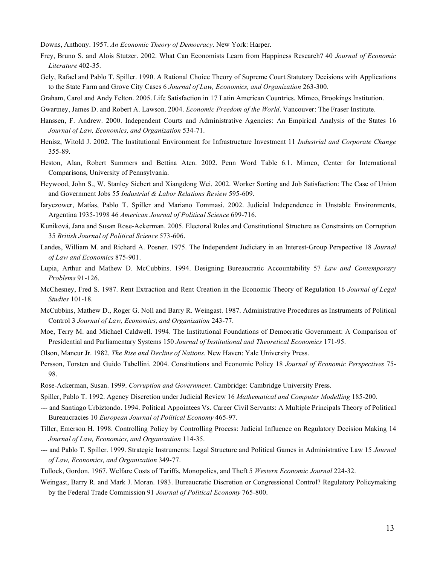Downs, Anthony. 1957. *An Economic Theory of Democracy*. New York: Harper.

- Frey, Bruno S. and Alois Stutzer. 2002. What Can Economists Learn from Happiness Research? 40 *Journal of Economic Literature* 402-35.
- Gely, Rafael and Pablo T. Spiller. 1990. A Rational Choice Theory of Supreme Court Statutory Decisions with Applications to the State Farm and Grove City Cases 6 *Journal of Law, Economics, and Organization* 263-300.
- Graham, Carol and Andy Felton. 2005. Life Satisfaction in 17 Latin American Countries. Mimeo, Brookings Institution.
- Gwartney, James D. and Robert A. Lawson. 2004. *Economic Freedom of the World*. Vancouver: The Fraser Institute.
- Hanssen, F. Andrew. 2000. Independent Courts and Administrative Agencies: An Empirical Analysis of the States 16 *Journal of Law, Economics, and Organization* 534-71.
- Henisz, Witold J. 2002. The Institutional Environment for Infrastructure Investment 11 *Industrial and Corporate Change* 355-89.
- Heston, Alan, Robert Summers and Bettina Aten. 2002. Penn Word Table 6.1. Mimeo, Center for International Comparisons, University of Pennsylvania.
- Heywood, John S., W. Stanley Siebert and Xiangdong Wei. 2002. Worker Sorting and Job Satisfaction: The Case of Union and Government Jobs 55 *Industrial & Labor Relations Review* 595-609.
- Iaryczower, Matías, Pablo T. Spiller and Mariano Tommasi. 2002. Judicial Independence in Unstable Environments, Argentina 1935-1998 46 *American Journal of Political Science* 699-716.
- Kuniková, Jana and Susan Rose-Ackerman. 2005. Electoral Rules and Constitutional Structure as Constraints on Corruption 35 *British Journal of Political Science* 573-606.
- Landes, William M. and Richard A. Posner. 1975. The Independent Judiciary in an Interest-Group Perspective 18 *Journal of Law and Economics* 875-901.
- Lupia, Arthur and Mathew D. McCubbins. 1994. Designing Bureaucratic Accountability 57 *Law and Contemporary Problems* 91-126.
- McChesney, Fred S. 1987. Rent Extraction and Rent Creation in the Economic Theory of Regulation 16 *Journal of Legal Studies* 101-18.
- McCubbins, Mathew D., Roger G. Noll and Barry R. Weingast. 1987. Administrative Procedures as Instruments of Political Control 3 *Journal of Law, Economics, and Organization* 243-77.
- Moe, Terry M. and Michael Caldwell. 1994. The Institutional Foundations of Democratic Government: A Comparison of Presidential and Parliamentary Systems 150 *Journal of Institutional and Theoretical Economics* 171-95.
- Olson, Mancur Jr. 1982. *The Rise and Decline of Nations*. New Haven: Yale University Press.
- Persson, Torsten and Guido Tabellini. 2004. Constitutions and Economic Policy 18 *Journal of Economic Perspectives* 75- 98.
- Rose-Ackerman, Susan. 1999. *Corruption and Government*. Cambridge: Cambridge University Press.
- Spiller, Pablo T. 1992. Agency Discretion under Judicial Review 16 *Mathematical and Computer Modelling* 185-200.
- --- and Santiago Urbiztondo. 1994. Political Appointees Vs. Career Civil Servants: A Multiple Principals Theory of Political Bureaucracies 10 *European Journal of Political Economy* 465-97.
- Tiller, Emerson H. 1998. Controlling Policy by Controlling Process: Judicial Influence on Regulatory Decision Making 14 *Journal of Law, Economics, and Organization* 114-35.
- --- and Pablo T. Spiller. 1999. Strategic Instruments: Legal Structure and Political Games in Administrative Law 15 *Journal of Law, Economics, and Organization* 349-77.
- Tullock, Gordon. 1967. Welfare Costs of Tariffs, Monopolies, and Theft 5 *Western Economic Journal* 224-32.
- Weingast, Barry R. and Mark J. Moran. 1983. Bureaucratic Discretion or Congressional Control? Regulatory Policymaking by the Federal Trade Commission 91 *Journal of Political Economy* 765-800.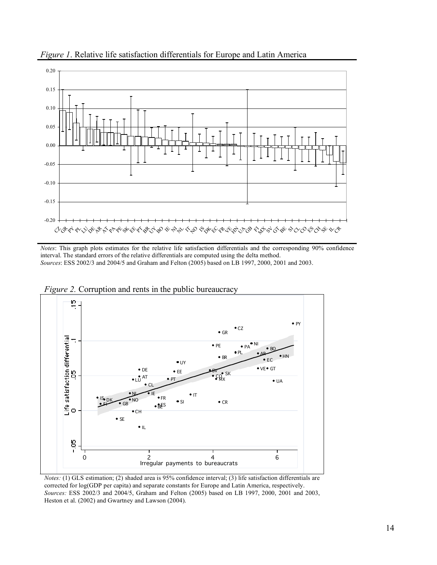

*Figure 1*. Relative life satisfaction differentials for Europe and Latin America

*Notes*: This graph plots estimates for the relative life satisfaction differentials and the corresponding 90% confidence interval. The standard errors of the relative differentials are computed using the delta method. *Sources*: ESS 2002/3 and 2004/5 and Graham and Felton (2005) based on LB 1997, 2000, 2001 and 2003.



*Figure 2.* Corruption and rents in the public bureaucracy

*Notes:* (1) GLS estimation; (2) shaded area is 95% confidence interval; (3) life satisfaction differentials are corrected for log(GDP per capita) and separate constants for Europe and Latin America, respectively. *Sources:* ESS 2002/3 and 2004/5, Graham and Felton (2005) based on LB 1997, 2000, 2001 and 2003, Heston et al. (2002) and Gwartney and Lawson (2004).